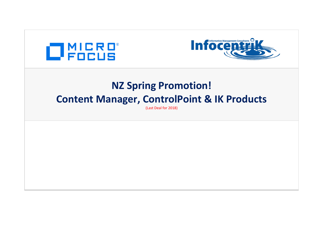



## **NZ Spring Promotion! Content Manager, ControlPoint & IK Products**

(Last Deal for 2018)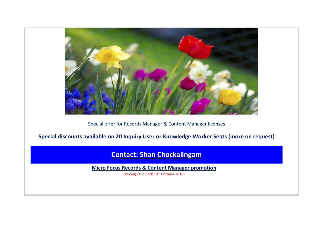

Special offer for Records Manager & Content Manager licenses

**Special discounts available on 20 Inquiry User or Knowledge Worker Seats (more on request)**

**[Contact: Shan Chockalingam](mailto:Shan%20Chockalingam%20%3cshan@infocentrik.co.nz%3e?subject=MicroFocus%20promotion%20inquiry%20)**

**Micro Focus Records & Content Manager promotion**

(Pricing valid until 19th October 2018)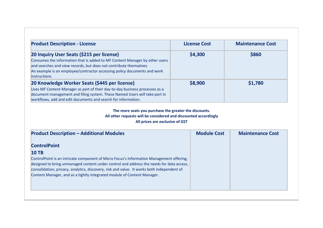| <b>Product Description - License</b>                                                                                                                                                                                                                                                         | <b>License Cost</b> | <b>Maintenance Cost</b> |
|----------------------------------------------------------------------------------------------------------------------------------------------------------------------------------------------------------------------------------------------------------------------------------------------|---------------------|-------------------------|
| 20 Inquiry User Seats (\$215 per license)<br>Consumes the information that is added to MF Content Manager by other users<br>and searches and view records, but does not contribute themselves.<br>An example is an employee/contractor accessing policy documents and work<br>linstructions. | \$4,300             | \$860                   |
| 20 Knowledge Worker Seats (\$445 per license)<br>Uses MF Content Manager as part of their day-to-day business processes as a<br>document management and filing system. These Named Users will take part in<br>workflows, add and edit documents and search for information.                  | \$8,900             | \$1,780                 |

## **The more seats you purchase the greater the discounts. All other requests will be considered and discounted accordingly All prices are exclusive of GST**

| <b>Product Description - Additional Modules</b>                                            | <b>Module Cost</b> | <b>Maintenance Cost</b> |
|--------------------------------------------------------------------------------------------|--------------------|-------------------------|
| <b>ControlPoint</b>                                                                        |                    |                         |
| $10$ TB                                                                                    |                    |                         |
| ControlPoint is an intricate component of Micro Focus's Information Management offering,   |                    |                         |
| designed to bring unmanaged content under control and address the needs for data access,   |                    |                         |
| consolidation, privacy, analytics, discovery, risk and value. It works both independent of |                    |                         |
| Content Manager, and as a tightly integrated module of Content Manager.                    |                    |                         |
|                                                                                            |                    |                         |
|                                                                                            |                    |                         |
|                                                                                            |                    |                         |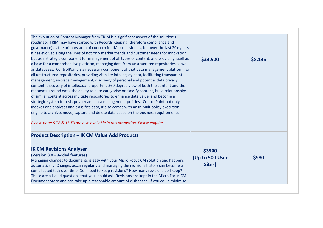| The evolution of Content Manager from TRIM is a significant aspect of the solution's<br>roadmap. TRIM may have started with Records Keeping (therefore compliance and<br>governance) as the primary area of concern for IM professionals, but over the last 20+ years<br>it has evolved along the lines of not only market trends and customer needs for innovation,<br>but as a strategic component for management of all types of content, and providing itself as<br>a base for a comprehensive platform, managing data from unstructured repositories as well<br>as databases. ControlPoint is a necessary component of that data management platform for<br>all unstructured repositories, providing visibility into legacy data, facilitating transparent<br>management, in-place management, discovery of personal and potential data privacy<br>content, discovery of intellectual property, a 360 degree view of both the content and the<br>metadata around data, the ability to auto categorise or classify content, build relationships<br>of similar content across multiple repositories to enhance data value, and become a<br>strategic system for risk, privacy and data management policies. ControlPoint not only<br>indexes and analyses and classifies data, it also comes with an in-built policy execution<br>engine to archive, move, capture and delete data based on the business requirements.<br>Please note: 5 TB & 15 TB are also available in this promotion. Please enquire. | \$33,900                            | \$8,136 |
|--------------------------------------------------------------------------------------------------------------------------------------------------------------------------------------------------------------------------------------------------------------------------------------------------------------------------------------------------------------------------------------------------------------------------------------------------------------------------------------------------------------------------------------------------------------------------------------------------------------------------------------------------------------------------------------------------------------------------------------------------------------------------------------------------------------------------------------------------------------------------------------------------------------------------------------------------------------------------------------------------------------------------------------------------------------------------------------------------------------------------------------------------------------------------------------------------------------------------------------------------------------------------------------------------------------------------------------------------------------------------------------------------------------------------------------------------------------------------------------------------------------|-------------------------------------|---------|
| <b>Product Description - IK CM Value Add Products</b><br><b>IK CM Revisions Analyser</b><br>(Version 3.0 - Added features)<br>Managing changes to documents is easy with your Micro Focus CM solution and happens<br>automatically. Changes occur regularly and managing the revisions history can become a<br>complicated task over time. Do I need to keep revisions? How many revisions do I keep?<br>These are all valid questions that you should ask. Revisions are kept in the Micro Focus CM<br>Document Store and can take up a reasonable amount of disk space. If you could minimise                                                                                                                                                                                                                                                                                                                                                                                                                                                                                                                                                                                                                                                                                                                                                                                                                                                                                                              | \$3900<br>(Up to 500 User<br>Sites) | \$980   |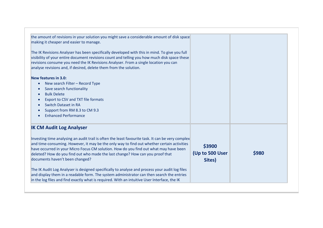| the amount of revisions in your solution you might save a considerable amount of disk space<br>making it cheaper and easier to manage.<br>The IK Revisions Analyser has been specifically developed with this in mind. To give you full<br>visibility of your entire document revisions count and telling you how much disk space these<br>revisions consume you need the IK Revisions Analyser. From a single location you can<br>analyse revisions and, if desired, delete them from the solution.                                                                                                                                                                                                                                           |                                     |       |
|------------------------------------------------------------------------------------------------------------------------------------------------------------------------------------------------------------------------------------------------------------------------------------------------------------------------------------------------------------------------------------------------------------------------------------------------------------------------------------------------------------------------------------------------------------------------------------------------------------------------------------------------------------------------------------------------------------------------------------------------|-------------------------------------|-------|
| New features in 3.0:<br>New search Filter - Record Type<br>$\bullet$<br>Save search functionality<br><b>Bulk Delete</b><br>Export to CSV and TXT file formats<br><b>Switch Dataset in RA</b><br>Support from RM 8.3 to CM 9.3<br><b>Enhanced Performance</b>                                                                                                                                                                                                                                                                                                                                                                                                                                                                                   |                                     |       |
| <b>IK CM Audit Log Analyser</b><br>Investing time analysing an audit trail is often the least favourite task. It can be very complex<br>and time-consuming. However, it may be the only way to find out whether certain activities<br>have occurred in your Micro Focus CM solution. How do you find out what may have been<br>deleted? How do you find out who made the last change? How can you proof that<br>documents haven't been changed?<br>The IK Audit Log Analyser is designed specifically to analyse and process your audit log files<br>and display them in a readable form. The system administrator can then search the entries<br>in the log files and find exactly what is required. With an intuitive User Interface, the IK | \$3900<br>(Up to 500 User<br>Sites) | \$980 |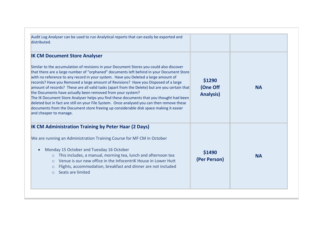| Audit Log Analyser can be used to run Analytical reports that can easily be exported and<br>distributed.                                                                                                                                                                                                                                                                                                                                                                                                                                                                                                                                                                                                                                                                                                                                                                             |                                        |           |
|--------------------------------------------------------------------------------------------------------------------------------------------------------------------------------------------------------------------------------------------------------------------------------------------------------------------------------------------------------------------------------------------------------------------------------------------------------------------------------------------------------------------------------------------------------------------------------------------------------------------------------------------------------------------------------------------------------------------------------------------------------------------------------------------------------------------------------------------------------------------------------------|----------------------------------------|-----------|
| <b>IK CM Document Store Analyser</b><br>Similar to the accumulation of revisions in your Document Stores you could also discover<br>that there are a large number of "orphaned" documents left behind in your Document Store<br>with no reference to any record in your system. Have you Deleted a large amount of<br>records? Have you Removed a large amount of Revisions? Have you Disposed of a large<br>amount of records? These are all valid tasks (apart from the Delete) but are you certain that<br>the Documents have actually been removed from your system?<br>The IK Document Store Analyser helps you find these documents that you thought had been<br>deleted but in fact are still on your File System. Once analysed you can then remove these<br>documents from the Document store freeing up considerable disk space making it easier<br>and cheaper to manage. | \$1290<br>(One Off<br><b>Analysis)</b> | <b>NA</b> |
| <b>IK CM Administration Training by Peter Haar (2 Days)</b><br>We are running an Administration Training Course for MF CM in October<br>Monday 15 October and Tuesday 16 October<br>This includes, a manual, morning tea, lunch and afternoon tea<br>$\circ$<br>Venue is our new office in the Infocentrik House in Lower Hutt<br>$\circ$<br>Flights, accommodation, breakfast and dinner are not included<br>$\circ$<br>Seats are limited<br>$\circ$                                                                                                                                                                                                                                                                                                                                                                                                                                | \$1490<br>(Per Person)                 | <b>NA</b> |